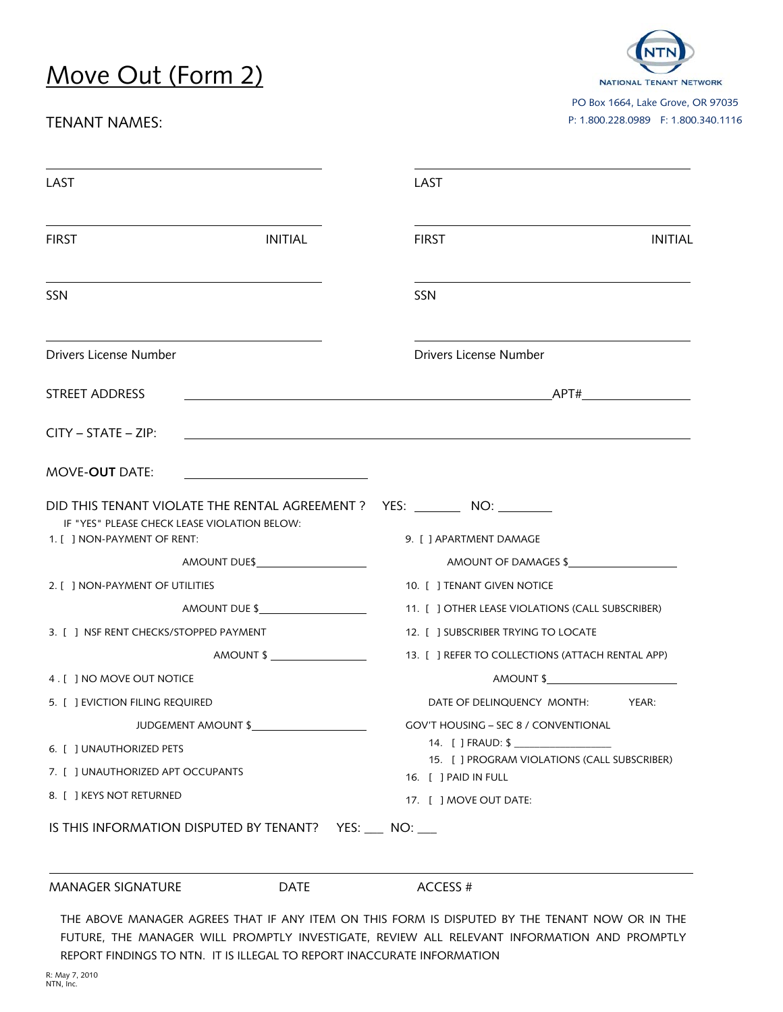## Move Out (Form 2)

## TENANT NAMES:



PO Box 1664, Lake Grove, OR 97035 P: 1.800.228.0989 F: 1.800.340.1116

| LAST                                                                                                                                                                                                      | LAST                                                                                                  |
|-----------------------------------------------------------------------------------------------------------------------------------------------------------------------------------------------------------|-------------------------------------------------------------------------------------------------------|
| <b>FIRST</b>                                                                                                                                                                                              | <b>INITIAL</b><br><b>INITIAL</b><br><b>FIRST</b>                                                      |
| SSN                                                                                                                                                                                                       | SSN                                                                                                   |
| Drivers License Number                                                                                                                                                                                    | Drivers License Number                                                                                |
| STREET ADDRESS                                                                                                                                                                                            |                                                                                                       |
| $CITY - STATE - ZIP:$                                                                                                                                                                                     |                                                                                                       |
| MOVE-OUT DATE:                                                                                                                                                                                            |                                                                                                       |
| IF "YES" PLEASE CHECK LEASE VIOLATION BELOW:<br>1. [ ] NON-PAYMENT OF RENT:                                                                                                                               | DID THIS TENANT VIOLATE THE RENTAL AGREEMENT ?   YES: ________ NO: _______<br>9. [ ] APARTMENT DAMAGE |
|                                                                                                                                                                                                           |                                                                                                       |
|                                                                                                                                                                                                           | AMOUNT OF DAMAGES \$                                                                                  |
|                                                                                                                                                                                                           | 10. [ ] TENANT GIVEN NOTICE                                                                           |
| AMOUNT DUE \$                                                                                                                                                                                             | 11. [ ] OTHER LEASE VIOLATIONS (CALL SUBSCRIBER)                                                      |
|                                                                                                                                                                                                           | 12. [ ] SUBSCRIBER TRYING TO LOCATE                                                                   |
|                                                                                                                                                                                                           | AMOUNT \$<br>13. [ ] REFER TO COLLECTIONS (ATTACH RENTAL APP)                                         |
|                                                                                                                                                                                                           | AMOUNT \$                                                                                             |
|                                                                                                                                                                                                           | DATE OF DELINQUENCY MONTH:<br>YEAR:                                                                   |
| JUDGEMENT AMOUNT \$                                                                                                                                                                                       | <b>GOV'T HOUSING - SEC 8 / CONVENTIONAL</b>                                                           |
|                                                                                                                                                                                                           | 14. [ ] FRAUD: \$                                                                                     |
|                                                                                                                                                                                                           | 15. [ ] PROGRAM VIOLATIONS (CALL SUBSCRIBER)                                                          |
| 2. [ ] NON-PAYMENT OF UTILITIES<br>3. [ ] NSF RENT CHECKS/STOPPED PAYMENT<br>5. [ ] EVICTION FILING REQUIRED<br>6. [ ] UNAUTHORIZED PETS<br>7. [ ] UNAUTHORIZED APT OCCUPANTS<br>8. [ ] KEYS NOT RETURNED | 16. [ ] PAID IN FULL                                                                                  |
| IS THIS INFORMATION DISPUTED BY TENANT? YES: NO: NO:                                                                                                                                                      | 17. [ ] MOVE OUT DATE:                                                                                |
| 4 . [ ] NO MOVE OUT NOTICE                                                                                                                                                                                |                                                                                                       |

REPORT FINDINGS TO NTN. IT IS ILLEGAL TO REPORT INACCURATE INFORMATION